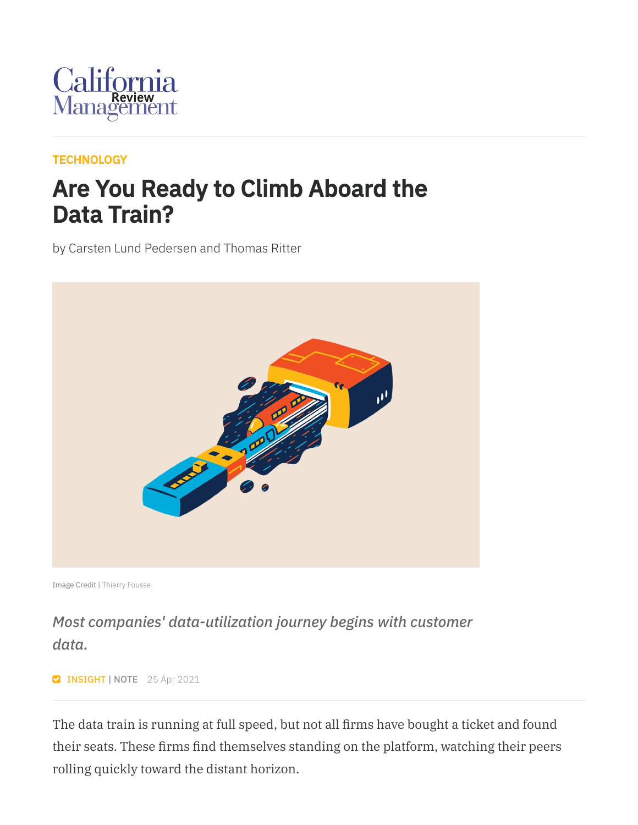

#### **[TECHNOLOGY](https://cmr.berkeley.edu/browse/topics/technology/)**

### Are You Ready to Climb Aboard the Data Train?

by Carsten Lund Pedersen and Thomas Ritter



Image Credit | Thierry [Fousse](https://dribbble.com/thierryfousse)

### *Most companies' data-utilization journey begins with customer data.*

**INSIGHT | NOTE** 25 Apr 2021

The data train is running at full speed, but not all firms have bought a ticket and found their seats. These firms find themselves standing on the platform, watching their peers rolling quickly toward the distant horizon.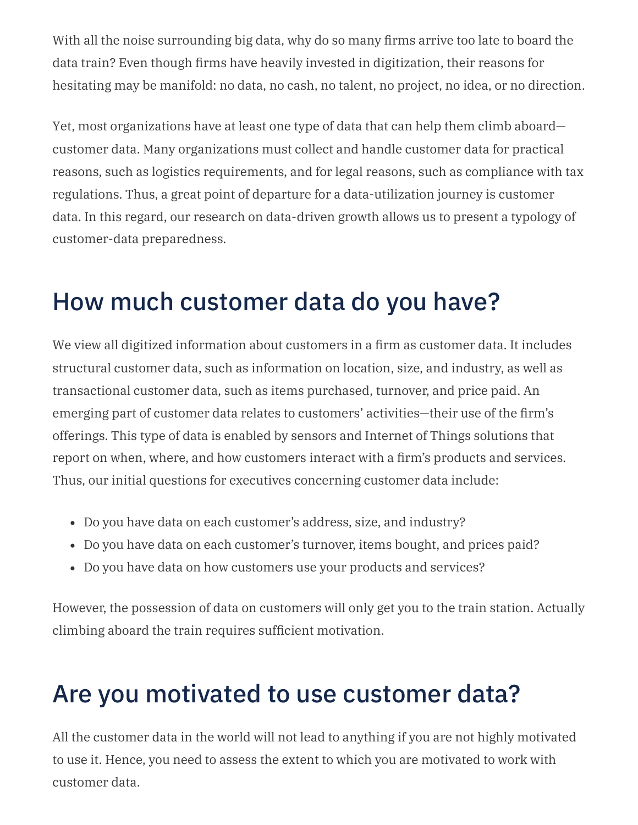With all the noise surrounding big data, why do so many firms arrive too late to board the data train? Even though firms have heavily invested in digitization, their reasons for hesitating may be manifold: no data, no cash, no talent, no project, no idea, or no direction.

Yet, most organizations have at least one type of data that can help them climb aboard customer data. Many organizations must collect and handle customer data for practical reasons, such as logistics requirements, and for legal reasons, such as compliance with tax regulations. Thus, a great point of departure for a data-utilization journey is customer data. In this regard, our research on data-driven growth allows us to present a typology of customer-data preparedness.

### How much customer data do you have?

We view all digitized information about customers in a firm as customer data. It includes structural customer data, such as information on location, size, and industry, as well as transactional customer data, such as items purchased, turnover, and price paid. An emerging part of customer data relates to customers' activities—their use of the firm's offerings. This type of data is enabled by sensors and Internet of Things solutions that report on when, where, and how customers interact with a firm's products and services. Thus, our initial questions for executives concerning customer data include:

- Do you have data on each customer's address, size, and industry?
- Do you have data on each customer's turnover, items bought, and prices paid?
- Do you have data on how customers use your products and services?

However, the possession of data on customers will only get you to the train station. Actually climbing aboard the train requires sufficient motivation.

# Are you motivated to use customer data?

All the customer data in the world will not lead to anything if you are not highly motivated to use it. Hence, you need to assess the extent to which you are motivated to work with customer data.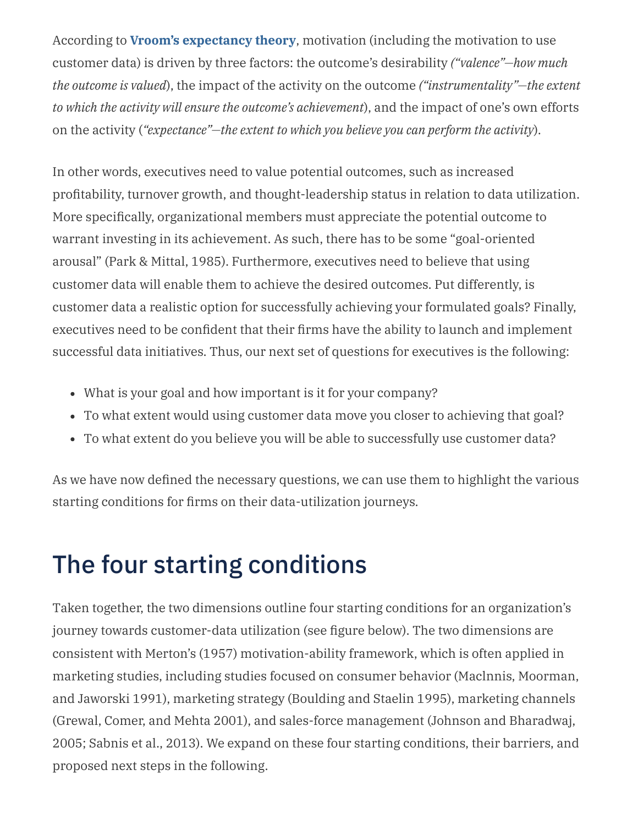According to **Vroom's [expectancy](https://en.wikipedia.org/wiki/Expectancy_theory) theory**, motivation (including the motivation to use customer data) is driven by three factors: the outcome's desirability *("valence"—how much the outcome is valued*), the impact of the activity on the outcome *("instrumentality"—the extent to which the activity will ensure the outcome's achievement*), and the impact of one's own efforts on the activity (*"expectance"—the extent to which you believe you can perform the activity*).

In other words, executives need to value potential outcomes, such as increased profitability, turnover growth, and thought-leadership status in relation to data utilization. More specifically, organizational members must appreciate the potential outcome to warrant investing in its achievement. As such, there has to be some "goal-oriented arousal" (Park & Mittal, 1985). Furthermore, executives need to believe that using customer data will enable them to achieve the desired outcomes. Put differently, is customer data a realistic option for successfully achieving your formulated goals? Finally, executives need to be confident that their firms have the ability to launch and implement successful data initiatives. Thus, our next set of questions for executives is the following:

- What is your goal and how important is it for your company?
- To what extent would using customer data move you closer to achieving that goal?
- To what extent do you believe you will be able to successfully use customer data?

As we have now defined the necessary questions, we can use them to highlight the various starting conditions for firms on their data-utilization journeys.

# The four starting conditions

Taken together, the two dimensions outline four starting conditions for an organization's journey towards customer-data utilization (see figure below). The two dimensions are consistent with Merton's (1957) motivation-ability framework, which is often applied in marketing studies, including studies focused on consumer behavior (Maclnnis, Moorman, and Jaworski 1991), marketing strategy (Boulding and Staelin 1995), marketing channels (Grewal, Comer, and Mehta 2001), and sales-force management (Johnson and Bharadwaj, 2005; Sabnis et al., 2013). We expand on these four starting conditions, their barriers, and proposed next steps in the following.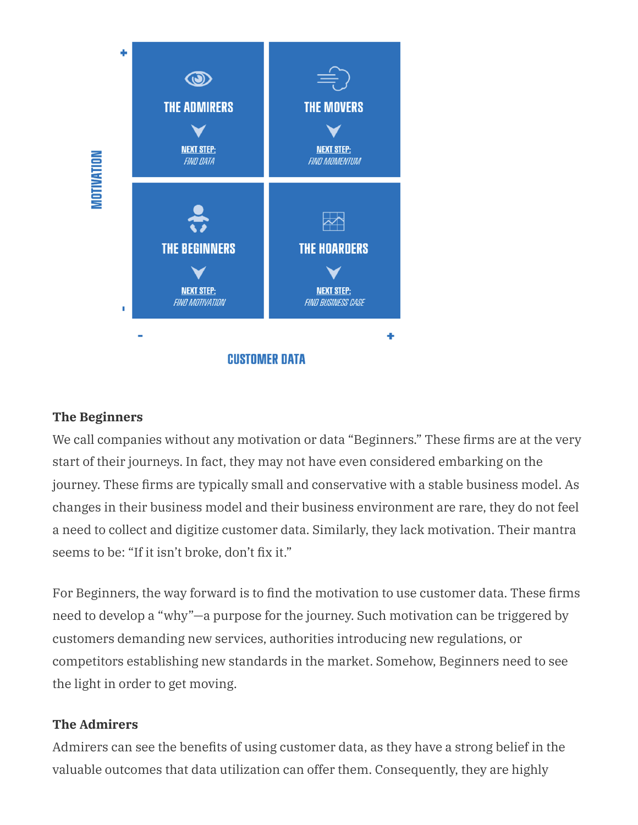

#### **The Beginners**

We call companies without any motivation or data "Beginners." These firms are at the very start of their journeys. In fact, they may not have even considered embarking on the journey. These firms are typically small and conservative with a stable business model. As changes in their business model and their business environment are rare, they do not feel a need to collect and digitize customer data. Similarly, they lack motivation. Their mantra seems to be: "If it isn't broke, don't fix it."

For Beginners, the way forward is to find the motivation to use customer data. These firms need to develop a "why"—a purpose for the journey. Such motivation can be triggered by customers demanding new services, authorities introducing new regulations, or competitors establishing new standards in the market. Somehow, Beginners need to see the light in order to get moving.

#### **The Admirers**

Admirers can see the benefits of using customer data, as they have a strong belief in the valuable outcomes that data utilization can offer them. Consequently, they are highly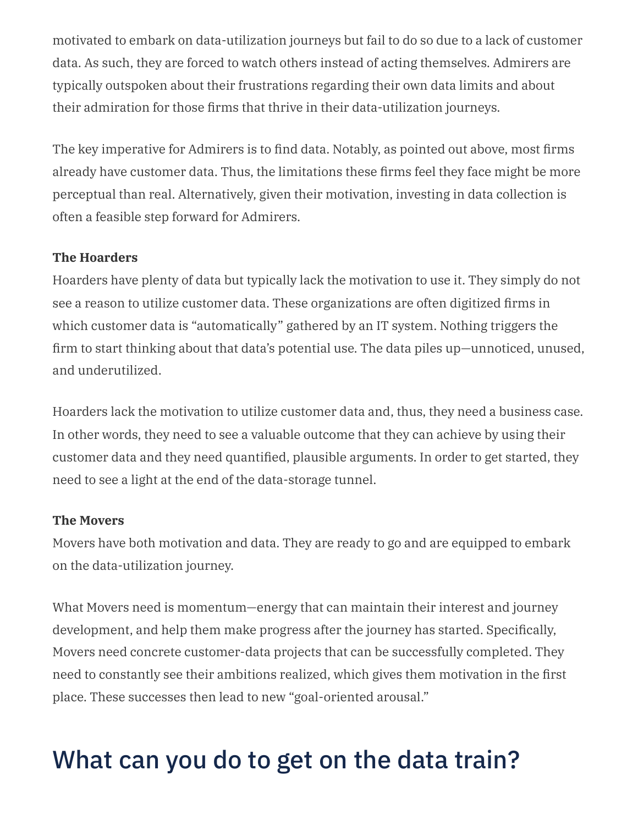motivated to embark on data-utilization journeys but fail to do so due to a lack of customer data. As such, they are forced to watch others instead of acting themselves. Admirers are typically outspoken about their frustrations regarding their own data limits and about their admiration for those firms that thrive in their data-utilization journeys.

The key imperative for Admirers is to find data. Notably, as pointed out above, most firms already have customer data. Thus, the limitations these firms feel they face might be more perceptual than real. Alternatively, given their motivation, investing in data collection is often a feasible step forward for Admirers.

#### **The Hoarders**

Hoarders have plenty of data but typically lack the motivation to use it. They simply do not see a reason to utilize customer data. These organizations are often digitized firms in which customer data is "automatically" gathered by an IT system. Nothing triggers the firm to start thinking about that data's potential use. The data piles up—unnoticed, unused, and underutilized.

Hoarders lack the motivation to utilize customer data and, thus, they need a business case. In other words, they need to see a valuable outcome that they can achieve by using their customer data and they need quantified, plausible arguments. In order to get started, they need to see a light at the end of the data-storage tunnel.

#### **The Movers**

Movers have both motivation and data. They are ready to go and are equipped to embark on the data-utilization journey.

What Movers need is momentum—energy that can maintain their interest and journey development, and help them make progress after the journey has started. Specifically, Movers need concrete customer-data projects that can be successfully completed. They need to constantly see their ambitions realized, which gives them motivation in the first place. These successes then lead to new "goal-oriented arousal."

# What can you do to get on the data train?